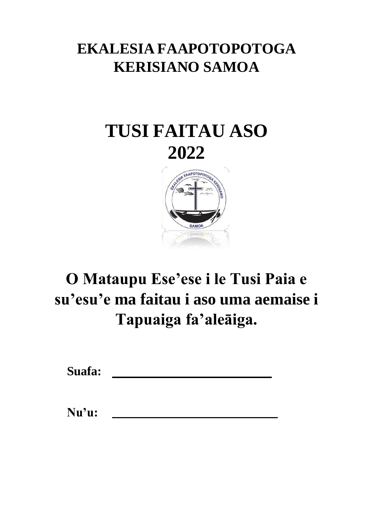# **EKALESIA FAAPOTOPOTOGA KERISIANO SAMOA**

# **TUSI FAITAU ASO 2022**



# **O Mataupu Ese'ese i le Tusi Paia e su'esu'e ma faitau i aso uma aemaise i Tapuaiga fa'aleāiga.**

**Suafa:**

**Nu'u:**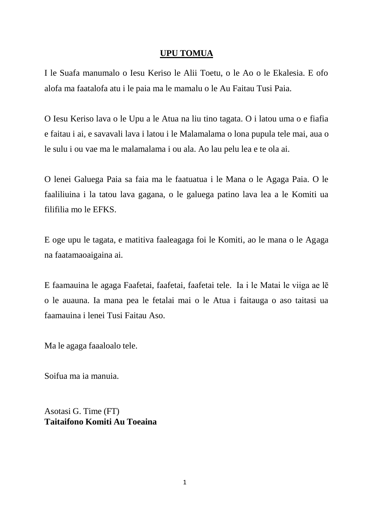## **UPU TOMUA**

I le Suafa manumalo o Iesu Keriso le Alii Toetu, o le Ao o le Ekalesia. E ofo alofa ma faatalofa atu i le paia ma le mamalu o le Au Faitau Tusi Paia.

O Iesu Keriso lava o le Upu a le Atua na liu tino tagata. O i latou uma o e fiafia e faitau i ai, e savavali lava i latou i le Malamalama o lona pupula tele mai, aua o le sulu i ou vae ma le malamalama i ou ala. Ao lau pelu lea e te ola ai.

O lenei Galuega Paia sa faia ma le faatuatua i le Mana o le Agaga Paia. O le faaliliuina i la tatou lava gagana, o le galuega patino lava lea a le Komiti ua filifilia mo le EFKS.

E oge upu le tagata, e matitiva faaleagaga foi le Komiti, ao le mana o le Agaga na faatamaoaigaina ai.

E faamauina le agaga Faafetai, faafetai, faafetai tele. Ia i le Matai le viiga ae lē o le auauna. Ia mana pea le fetalai mai o le Atua i faitauga o aso taitasi ua faamauina i lenei Tusi Faitau Aso.

Ma le agaga faaaloalo tele.

Soifua ma ia manuia.

Asotasi G. Time (FT) **Taitaifono Komiti Au Toeaina**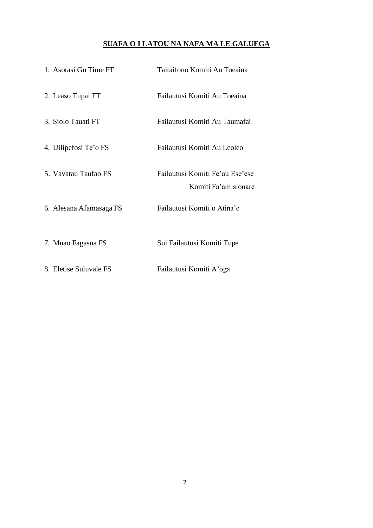## **SUAFA O I LATOU NA NAFA MA LE GALUEGA**

| 1. Asotasi Gu Time FT   | Taitaifono Komiti Au Toeaina                            |
|-------------------------|---------------------------------------------------------|
| 2. Leaso Tupai FT       | Failautusi Komiti Au Toeaina                            |
| 3. Siolo Tauati FT      | Failautusi Komiti Au Taumafai                           |
| 4. Uilipefosi Te'o FS   | Failautusi Komiti Au Leoleo                             |
| 5. Vavatau Taufao FS    | Failautusi Komiti Fe'au Ese'ese<br>Komiti Fa'amisionare |
| 6. Alesana Afamasaga FS | Failautusi Komiti o Atina'e                             |
| 7. Muao Fagasua FS      | Sui Failautusi Komiti Tupe                              |
| 8. Eletise Suluvale FS  | Failautusi Komiti A'oga                                 |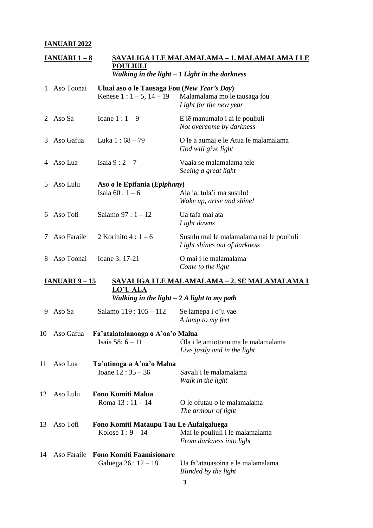## **IANUARI 2022**

|    | <b>IANUARI 1-8</b>    | <b>POULIULI</b>                                                       | <u>SAVALIGA I LE MALAMALAMA – 1. MALAMALAMA I LE</u><br>Walking in the light $-1$ Light in the darkness |
|----|-----------------------|-----------------------------------------------------------------------|---------------------------------------------------------------------------------------------------------|
| 1  | Aso Toonai            | Uluai aso o le Tausaga Fou (New Year's Day)<br>Kenese $1: 1-5, 14-19$ | Malamalama mo le tausaga fou<br>Light for the new year                                                  |
| 2  | Aso Sa                | Ioane $1:1-9$                                                         | E lē manumalo i ai le pouliuli<br>Not overcome by darkness                                              |
| 3  | Aso Gafua             | Luka $1:68-79$                                                        | O le a aumai e le Atua le malamalama<br>God will give light                                             |
| 4  | Aso Lua               | Isaia $9:2-7$                                                         | Vaaia se malamalama tele<br>Seeing a great light                                                        |
| 5. | Aso Lulu              | Aso o le Epifania (Epiphany)<br>Isaia $60:1-6$                        | Ala ia, tula'i ma susulu!<br>Wake up, arise and shine!                                                  |
| 6  | Aso Tofi              | Salamo $97:1 - 12$                                                    | Ua tafa mai ata<br>Light dawns                                                                          |
| 7  | Aso Faraile           | 2 Korinito $4:1-6$                                                    | Susulu mai le malamalama nai le pouliuli<br>Light shines out of darkness                                |
| 8  | Aso Toonai            | Ioane 3: 17-21                                                        | O mai i le malamalama<br>Come to the light                                                              |
|    | <u>IANUARI 9 – 15</u> |                                                                       | <u>SAVALIGA I LE MALAMALAMA – 2. SE MALAMALAMA I</u>                                                    |
|    |                       | <b>LO'U ALA</b><br>Walking in the light $-2A$ light to my path        |                                                                                                         |
| 9. | Aso Sa                | Salamo 119: 105 - 112                                                 | Se lamepa i o'u vae<br>A lamp to my feet                                                                |
|    | 10 Aso Gafua          | Fa'atalatalanoaga o A'oa'o Malua<br>Isaia 58: $6 - 11$                | Ola i le amiotonu ma le malamalama<br>Live justly and in the light                                      |
| 11 | Aso Lua               | Ta'utinoga a A'oa'o Malua<br>Ioane $12:35 - 36$                       | Savali i le malamalama<br>Walk in the light                                                             |
| 12 | Aso Lulu              | <b>Fono Komiti Malua</b><br>Roma $13:11 - 14$                         | O le ofutau o le malamalama<br>The armour of light                                                      |
| 13 | Aso Tofi              | Fono Komiti Mataupu Tau Le Aufaigaluega<br>Kolose $1:9-14$            | Mai le pouliuli i le malamalama<br>From darkness into light                                             |
| 14 |                       | Aso Faraile Fono Komiti Faamisionare<br>Galuega $26:12-18$            | Ua fa'atauasoina e le malamalama<br>Blinded by the light                                                |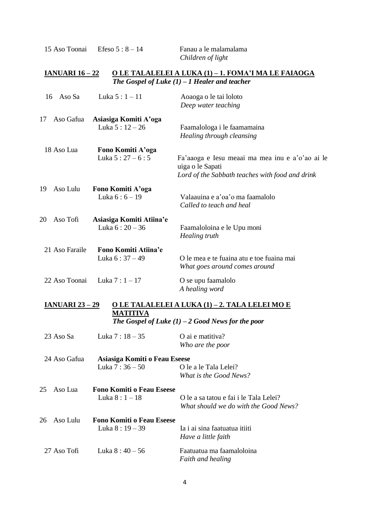15 Aso Toonai Efeso 5 : 8 – 14 Fanau a le malamalama

*Children of light*

## **IANUARI 16 – 22 O LE TALALELEI A LUKA (1) – 1. FOMA'I MA LE FAIAOGA** *The Gospel of Luke (1) – 1 Healer and teacher*

| Aso Sa<br>16           | Luka $5:1 - 11$                                     | Aoaoga o le tai loloto<br>Deep water teaching                                                                          |
|------------------------|-----------------------------------------------------|------------------------------------------------------------------------------------------------------------------------|
| 17<br>Aso Gafua        | Asiasiga Komiti A'oga<br>Luka $5:12-26$             | Faamalologa i le faamamaina<br>Healing through cleansing                                                               |
| 18 Aso Lua             | Fono Komiti A'oga<br>Luka $5:27-6:5$                | Fa'aaoga e Iesu meaai ma mea inu e a'o'ao ai le<br>uiga o le Sapati<br>Lord of the Sabbath teaches with food and drink |
| Aso Lulu<br>19         | Fono Komiti A'oga<br>Luka $6:6 - 19$                | Valaauina e a'oa'o ma faamalolo<br>Called to teach and heal                                                            |
| 20<br>Aso Tofi         | Asiasiga Komiti Atiina'e<br>Luka $6:20-36$          | Faamaloloina e le Upu moni<br>Healing truth                                                                            |
| 21 Aso Faraile         | Fono Komiti Atiina'e<br>Luka 6:37 - 49              | O le mea e te fuaina atu e toe fuaina mai<br>What goes around comes around                                             |
| 22 Aso Toonai          | Luka $7:1 - 17$                                     | O se upu faamalolo<br>A healing word                                                                                   |
| <b>IANUARI 23 – 29</b> | <b>MATITIVA</b>                                     | O LE TALALELEI A LUKA (1) – 2. TALA LELEI MO E<br>The Gospel of Luke $(1)$ – 2 Good News for the poor                  |
| 23 Aso Sa              | Luka 7 : 18 - 35                                    | O ai e matitiva?<br>Who are the poor                                                                                   |
| 24 Aso Gafua           | Asiasiga Komiti o Feau Eseese<br>Luka $7:36-50$     | O le a le Tala Lelei?<br>What is the Good News?                                                                        |
| 25<br>Aso Lua          | <b>Fono Komiti o Feau Eseese</b><br>Luka $8:1 - 18$ | O le a sa tatou e fai i le Tala Lelei?<br>What should we do with the Good News?                                        |
| Aso Lulu<br>26         | <b>Fono Komiti o Feau Eseese</b><br>Luka $8:19-39$  | Ia i ai sina faatuatua itiiti<br>Have a little faith                                                                   |
| 27 Aso Tofi            | Luka $8:40-56$                                      | Faatuatua ma faamaloloina<br>Faith and healing                                                                         |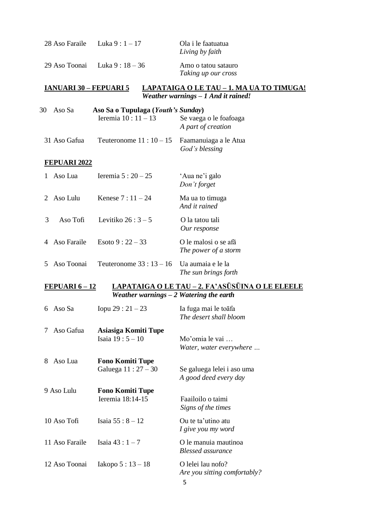|                | 28 Aso Faraile                | Luka $9:1 - 17$                                            | Ola i le faatuatua<br>Living by faith                                                   |
|----------------|-------------------------------|------------------------------------------------------------|-----------------------------------------------------------------------------------------|
|                | 29 Aso Toonai                 | Luka $9:18-36$                                             | Amo o tatou satauro<br>Taking up our cross                                              |
|                | <u>IANUARI 30 – FEPUARI 5</u> |                                                            | <u>LAPATAIGA O LE TAU – 1. MA UA TO TIMUGA!</u><br>Weather warnings $-1$ And it rained! |
| 30             | Aso Sa                        | Aso Sa o Tupulaga (Youth's Sunday)<br>Ieremia $10:11 - 13$ | Se vaega o le foafoaga<br>A part of creation                                            |
|                | 31 Aso Gafua                  | Teuteronome $11:10-15$                                     | Faamanuiaga a le Atua<br>God's blessing                                                 |
|                | <b>FEPUARI 2022</b>           |                                                            |                                                                                         |
|                | Aso Lua                       | Ieremia $5:20-25$                                          | 'Aua ne'i galo<br>Don't forget                                                          |
| $\overline{2}$ | Aso Lulu                      | Kenese $7:11 - 24$                                         | Ma ua to timuga<br>And it rained                                                        |
| 3              | Aso Tofi                      | Levitiko $26:3-5$                                          | O la tatou tali<br>Our response                                                         |
| 4              | Aso Faraile                   | Esoto $9:22-33$                                            | O le malosi o se afã<br>The power of a storm                                            |
| 5              | Aso Toonai                    | Teuteronome $33:13-16$                                     | Ua aumaia e le la<br>The sun brings forth                                               |
|                | <u>FEPUARI 6 – 12</u>         | Weather warnings $-2$ Watering the earth                   | <u>LAPATAIGA O LE TAU - 2. FA'ASŪSŪINA O LE ELEELE</u>                                  |
|                |                               |                                                            |                                                                                         |
| 6              | Aso Sa                        | Iopu 29 : $21 - 23$                                        | Ia fuga mai le toāfa<br>The desert shall bloom                                          |
| Ί              | Aso Gafua                     | Asiasiga Komiti Tupe<br>Isaia $19:5 - 10$                  | Mo'omia le vai<br>Water, water everywhere                                               |
| 8              | Aso Lua                       | <b>Fono Komiti Tupe</b><br>Galuega $11:27 - 30$            | Se galuega lelei i aso uma<br>A good deed every day                                     |
|                | 9 Aso Lulu                    | <b>Fono Komiti Tupe</b><br>Ieremia 18:14-15                | Faailoilo o taimi<br>Signs of the times                                                 |
|                | 10 Aso Tofi                   | Isaia $55:8 - 12$                                          | Ou te ta'utino atu<br>I give you my word                                                |
|                | 11 Aso Faraile                | Isaia $43:1 - 7$                                           | O le manuia mautinoa<br><b>Blessed</b> assurance                                        |
|                | 12 Aso Toonai                 | Iakopo $5:13-18$                                           | O lelei lau nofo?<br>Are you sitting comfortably?<br>5                                  |

5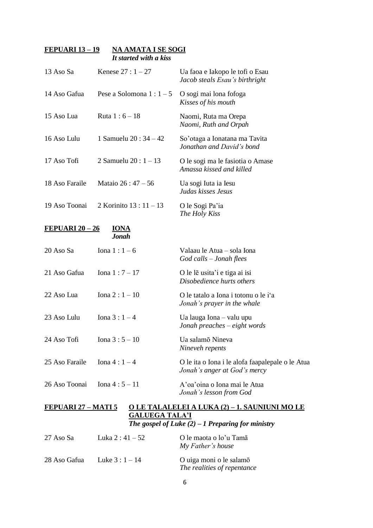#### **FEPUARI 13 – 19 NA AMATA I SE SOGI** *It started with a kiss*

| 13 Aso Sa              | Kenese $27:1 - 27$          | Ua faoa e Iakopo le tofi o Esau<br>Jacob steals Esau's birthright                |
|------------------------|-----------------------------|----------------------------------------------------------------------------------|
| 14 Aso Gafua           | Pese a Solomona $1:1-5$     | O sogi mai lona fofoga<br>Kisses of his mouth                                    |
| 15 Aso Lua             | Ruta $1:6 - 18$             | Naomi, Ruta ma Orepa<br>Naomi, Ruth and Orpah                                    |
| 16 Aso Lulu            | 1 Samuelu 20 : $34 - 42$    | So'otaga a Ionatana ma Tavita<br>Jonathan and David's bond                       |
| 17 Aso Tofi            | 2 Samuelu 20 : $1 - 13$     | O le sogi ma le fasiotia o Amase<br>Amassa kissed and killed                     |
| 18 Aso Faraile         | Mataio $26:47-56$           | Ua sogi Iuta ia Iesu<br>Judas kisses Jesus                                       |
| 19 Aso Toonai          | 2 Korinito $13:11 - 13$     | O le Sogi Pa'ia<br>The Holy Kiss                                                 |
| <u>FEPUARI 20 – 26</u> | <b>IONA</b><br><b>Jonah</b> |                                                                                  |
| 20 Aso Sa              | Iona $1:1-6$                | Valaau le Atua – sola Iona<br>$God$ calls $-Jonah$ flees                         |
| 21 Aso Gafua           | Iona $1:7 - 17$             | O le le usita'i e tiga ai isi<br>Disobedience hurts others                       |
| 22 Aso Lua             | Iona $2:1 - 10$             | O le tatalo a Iona i totonu o le i'a<br>Jonah's prayer in the whale              |
| 23 Aso Lulu            | Iona $3:1-4$                | Ua lauga Iona – valu upu<br>Jonah preaches $-eight$ words                        |
| 24 Aso Tofi            | Iona $3:5 - 10$             | Ua salamō Nineva<br>Nineveh repents                                              |
| 25 Aso Faraile         | Iona $4:1-4$                | O le ita o Iona i le alofa faapalepale o le Atua<br>Jonah's anger at God's mercy |
| 26 Aso Toonai          | Iona $4:5 - 11$             | A'oa'oina o Iona mai le Atua<br>Jonah's lesson from God                          |

## **FEPUARI 27 – MATI 5 O LE TALALELEI A LUKA (2) – 1. SAUNIUNI MO LE GALUEGA TALA'I** *The gospel of Luke (2) – 1 Preparing for ministry*

| 27 Aso Sa    | Luka 2 : $41 - 52$ | O le maota o lo'u Tamã<br>My Father's house            |
|--------------|--------------------|--------------------------------------------------------|
| 28 Aso Gafua | Luke $3:1 - 14$    | O uiga moni o le salamõ<br>The realities of repentance |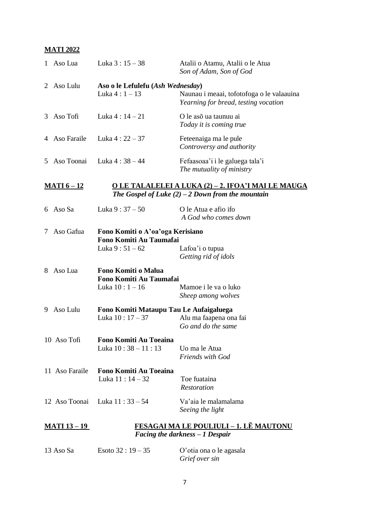# **MATI 2022**

|                                                                                                                                         | 1 Aso Lua           | Luka 3:15 - 38                                                                | Atalii o Atamu, Atalii o le Atua<br>Son of Adam, Son of God                       |
|-----------------------------------------------------------------------------------------------------------------------------------------|---------------------|-------------------------------------------------------------------------------|-----------------------------------------------------------------------------------|
|                                                                                                                                         | 2 Aso Lulu          | Aso o le Lefulefu (Ash Wednesday)<br>Luka $4:1 - 13$                          | Naunau i meaai, tofotofoga o le valaauina<br>Yearning for bread, testing vocation |
|                                                                                                                                         | 3 Aso Tofi          | Luka $4:14 - 21$                                                              | O le aso ua taunuu ai<br>Today it is coming true                                  |
|                                                                                                                                         | 4 Aso Faraile       | Luka $4:22-37$                                                                | Feteenaiga ma le pule<br>Controversy and authority                                |
|                                                                                                                                         | 5 Aso Toonai        | Luka 4 : 38 – 44                                                              | Fefaasoaa'i i le galuega tala'i<br>The mutuality of ministry                      |
| <u>O LE TALALELEI A LUKA (2) – 2. IFOA'I MAI LE MAUGA</u><br><u> MATI 6 – 12</u><br>The Gospel of Luke $(2)$ – 2 Down from the mountain |                     |                                                                               |                                                                                   |
|                                                                                                                                         | 6 Aso Sa            | Luka $9:37-50$                                                                | O le Atua e afio ifo<br>A God who comes down                                      |
| 7                                                                                                                                       | Aso Gafua           | Fono Komiti o A'oa'oga Kerisiano<br>Fono Komiti Au Taumafai<br>Luka $9:51-62$ | Lafoa'i o tupua<br>Getting rid of idols                                           |
|                                                                                                                                         | 8 Aso Lua           | Fono Komiti o Malua<br>Fono Komiti Au Taumafai<br>Luka 10 : 1 - 16            | Mamoe i le va o luko<br>Sheep among wolves                                        |
|                                                                                                                                         | 9 Aso Lulu          | Fono Komiti Mataupu Tau Le Aufaigaluega<br>Luka $10:17-37$                    | Alu ma faapena ona fai<br>Go and do the same                                      |
|                                                                                                                                         | 10 Aso Tofi         | Fono Komiti Au Toeaina<br>Luka 10:38 - 11:13                                  | Uo ma le Atua<br><b>Friends with God</b>                                          |
|                                                                                                                                         | 11 Aso Faraile      | Fono Komiti Au Toeaina<br>Luka $11:14-32$                                     | Toe fuataina<br><b>Restoration</b>                                                |
|                                                                                                                                         | 12 Aso Toonai       | Luka 11 : 33 – 54                                                             | Va'aia le malamalama<br>Seeing the light                                          |
|                                                                                                                                         | <u>MATI 13 – 19</u> |                                                                               | <b>FESAGAI MA LE POULIULI – 1. LE MAUTONU</b><br>Facing the darkness - 1 Despair  |

| 13 Aso Sa | Esoto $32:19-35$ | O'otia ona o le agasala |
|-----------|------------------|-------------------------|
|           |                  | Grief over sin          |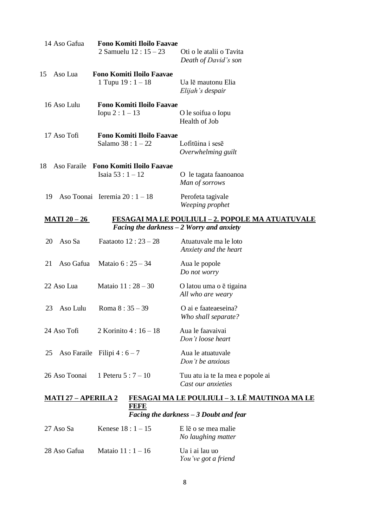| 14 Aso Gafua        | <b>Fono Komiti Iloilo Faavae</b><br>2 Samuelu $12:15-23$     | Oti o le atalii o Tavita<br>Death of David's son                         |
|---------------------|--------------------------------------------------------------|--------------------------------------------------------------------------|
| Aso Lua<br>15       | <b>Fono Komiti Iloilo Faavae</b><br>1 Tupu $19:1 - 18$       | Ua lē mautonu Elia<br>Elijah's despair                                   |
| 16 Aso Lulu         | <b>Fono Komiti Iloilo Faavae</b><br>Iopu 2 : $1 - 13$        | O le soifua o Iopu<br>Health of Job                                      |
| 17 Aso Tofi         | <b>Fono Komiti Iloilo Faavae</b><br>Salamo $38:1 - 22$       | Lofitūina i sesē<br>Overwhelming guilt                                   |
| 18                  | Aso Faraile Fono Komiti Iloilo Faavae<br>Isaia $53:1 - 12$   | O le tagata faanoanoa<br>Man of sorrows                                  |
| 19                  | Aso Toonai Ieremia $20:1-18$                                 | Perofeta tagivale<br>Weeping prophet                                     |
| <b>MATI 20 - 26</b> | <i>Facing the darkness <math>-2</math> Worry and anxiety</i> | <b>FESAGAI MA LE POULIULI - 2. POPOLE MA ATUATUVALE</b>                  |
| Aso Sa<br>20        | Faataoto $12:23 - 28$                                        | Atuatuvale ma le loto<br>Anxiety and the heart                           |
| Aso Gafua<br>21     | Mataio $6:25 - 34$                                           | Aua le popole<br>Do not worry                                            |
| 22 Aso Lua          | Mataio $11:28 - 30$                                          | O latou uma o ē tigaina<br>All who are weary                             |
| Aso Lulu<br>23      | Roma $8:35-39$                                               | O ai e faateaeseina?<br>Who shall separate?                              |
| 24 Aso Tofi         | 2 Korinito 4 : 16 - 18                                       | Aua le faavaivai<br>Don't loose heart                                    |
| 25                  | Aso Faraile Filipi $4:6-7$                                   | Aua le atuatuvale<br>Don't be anxious                                    |
| 26 Aso Toonai       | 1 Peteru $5:7 - 10$                                          | Tuu atu ia te Ia mea e popole ai<br>Cast our anxieties                   |
|                     |                                                              | <b>MATI 27 - APERILA 2 FESAGAI MA LE POULIULI - 3. LE MAUTINOA MA LE</b> |

#### **MATI 27 – APERILA 2 FESAGAI MA LE POULIULI – 3. LĒ MAUTINOA MA LE FEFE** *Facing the darkness – 3 Doubt and fear*

| 27 Aso Sa    | Kenese $18:1 - 15$   | E le o se mea malie<br>No laughing matter |
|--------------|----------------------|-------------------------------------------|
| 28 Aso Gafua | Mataio 11 : $1 - 16$ | Ua i ai lau uo<br>You've got a friend     |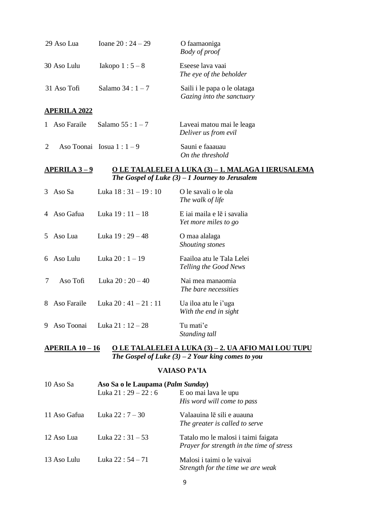|                | 29 Aso Lua          | Ioane $20:24 - 29$       | O faamaoniga<br><b>Body</b> of proof                                                                           |
|----------------|---------------------|--------------------------|----------------------------------------------------------------------------------------------------------------|
|                | 30 Aso Lulu         | Iakopo $1:5-8$           | Eseese lava vaai<br>The eye of the beholder                                                                    |
|                | 31 Aso Tofi         | Salamo $34:1-7$          | Saili i le papa o le olataga<br>Gazing into the sanctuary                                                      |
|                | <b>APERILA 2022</b> |                          |                                                                                                                |
|                | 1 Aso Faraile       | Salamo $55:1 - 7$        | Laveai matou mai le leaga<br>Deliver us from evil                                                              |
| $\overline{2}$ |                     | Aso Toonai Iosua $1:1-9$ | Sauni e faaauau<br>On the threshold                                                                            |
|                | <u>APERILA 3-9</u>  |                          | <u>O LE TALALELEI A LUKA (3) – 1. MALAGA I IERUSALEMA</u><br>The Gospel of Luke $(3) - 1$ Journey to Jerusalem |
| 3              | Aso Sa              | Luka 18:31 - 19:10       | O le savali o le ola<br>The walk of life                                                                       |
|                | 4 Aso Gafua         | Luka 19:11 - 18          | E iai maila e le i savalia<br>Yet more miles to go                                                             |
| 5.             | Aso Lua             | Luka 19:29 - 48          | O maa alalaga<br>Shouting stones                                                                               |
|                | 6 Aso Lulu          | Luka 20: 1 - 19          | Faailoa atu le Tala Lelei<br>Telling the Good News                                                             |
| 7              | Aso Tofi            | Luka $20:20-40$          | Nai mea manaomia<br>The bare necessities                                                                       |
| 8              | Aso Faraile         | Luka $20:41 - 21:11$     | Ua iloa atu le i'uga<br>With the end in sight                                                                  |
| 9              | Aso Toonai          | Luka 21:12 - 28          | Tu mati'e<br>Standing tall                                                                                     |

#### **APERILA 10 – 16 O LE TALALELEI A LUKA (3) – 2. UA AFIO MAI LOU TUPU** *The Gospel of Luke (3) – 2 Your king comes to you*

## **VAIASO PA'IA**

| 10 Aso Sa    | Aso Sa o le Laupama (Palm Sunday) |                                           |
|--------------|-----------------------------------|-------------------------------------------|
|              | Luka $21:29 - 22:6$               | E oo mai lava le upu                      |
|              |                                   | His word will come to pass                |
| 11 Aso Gafua | Luka $22:7 - 30$                  | Valaauina lē sili e auauna                |
|              |                                   | The greater is called to serve            |
| 12 Aso Lua   | Luka $22:31-53$                   | Tatalo mo le malosi i taimi faigata       |
|              |                                   | Prayer for strength in the time of stress |
| 13 Aso Lulu  | Luka $22:54 - 71$                 | Malosi i taimi o le vaivai                |
|              |                                   | Strength for the time we are weak         |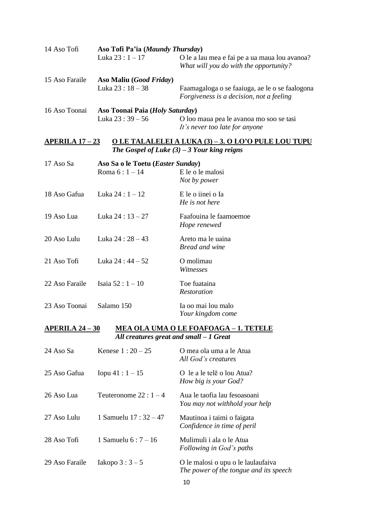| 14 Aso Tofi                                                     | Aso Tofi Pa'ia (Maundy Thursday)             |                                                                                            |  |
|-----------------------------------------------------------------|----------------------------------------------|--------------------------------------------------------------------------------------------|--|
|                                                                 | Luka $23:1 - 17$                             | O le a lau mea e fai pe a ua maua lou avanoa?<br>What will you do with the opportunity?    |  |
| 15 Aso Faraile                                                  | Aso Maliu ( <i>Good Friday</i> )             |                                                                                            |  |
|                                                                 | Luka $23:18-38$                              | Faamagaloga o se faaiuga, ae le o se faalogona<br>Forgiveness is a decision, not a feeling |  |
| 16 Aso Toonai                                                   | Aso Toonai Paia (Holy Saturday)              |                                                                                            |  |
|                                                                 | Luka $23:39-56$                              | O loo maua pea le avanoa mo soo se tasi<br>It's never too late for anyone                  |  |
| APERILA $17-23$                                                 |                                              | <u>O LE TALALELEI A LUKA (3) – 3. O LO'O PULE LOU TUPU</u>                                 |  |
|                                                                 |                                              | The Gospel of Luke $(3)$ – 3 Your king reigns                                              |  |
| 17 Aso Sa                                                       | Aso Sa o le Toetu (Easter Sunday)            |                                                                                            |  |
|                                                                 | Roma $6:1 - 14$                              | E le o le malosi                                                                           |  |
|                                                                 |                                              | Not by power                                                                               |  |
| 18 Aso Gafua                                                    | Luka $24:1 - 12$                             | E le o iinei o Ia                                                                          |  |
|                                                                 |                                              | He is not here                                                                             |  |
| 19 Aso Lua                                                      | Luka $24:13-27$                              | Faafouina le faamoemoe                                                                     |  |
|                                                                 |                                              | Hope renewed                                                                               |  |
| 20 Aso Lulu                                                     | Luka 24 : 28 - 43                            | Areto ma le uaina                                                                          |  |
|                                                                 |                                              | <b>Bread and wine</b>                                                                      |  |
| 21 Aso Tofi                                                     | Luka $24:44-52$                              | O molimau                                                                                  |  |
|                                                                 |                                              | Witnesses                                                                                  |  |
| 22 Aso Faraile                                                  | Isaia $52:1 - 10$                            | Toe fuataina                                                                               |  |
|                                                                 |                                              | Restoration                                                                                |  |
| 23 Aso Toonai                                                   | Salamo 150                                   | Ia oo mai lou malo                                                                         |  |
|                                                                 |                                              | Your kingdom come                                                                          |  |
| $APERILA 24-30$<br><u>MEA OLA UMA O LE FOAFOAGA – 1. TETELE</u> |                                              |                                                                                            |  |
|                                                                 | All creatures great and small $-1$ Great     |                                                                                            |  |
| 24 Aso Sa                                                       | Kenese $1:20 - 25$                           | O mea ola uma a le Atua                                                                    |  |
|                                                                 |                                              | All God's creatures                                                                        |  |
|                                                                 | 25 Aso Gafua $\qquad$ Ionu $41 \cdot 1 = 15$ | $\Omega$ le a le tele o lou Atua?                                                          |  |

| 25 ASO Gaiua   | $100u + 1 : 1 - 15$  | O le a le tele o lou Atua?<br>How big is your God?             |
|----------------|----------------------|----------------------------------------------------------------|
| 26 Aso Lua     | Teuteronome $22:1-4$ | Aua le taofia lau fesoasoani<br>You may not withhold your help |
| 27 Aso Lulu    | 1 Samuelu $17:32-47$ | Mautinoa i taimi o faigata<br>Confidence in time of peril      |
| 28 Aso Tofi    | 1 Samuelu $6:7 - 16$ | Mulimuli i ala o le Atua<br>Following in God's paths           |
| 29 Aso Faraile | Iakopo $3:3-5$       | O le malosi o upu o le laulaufaiva                             |

*The power of the tongue and its speech*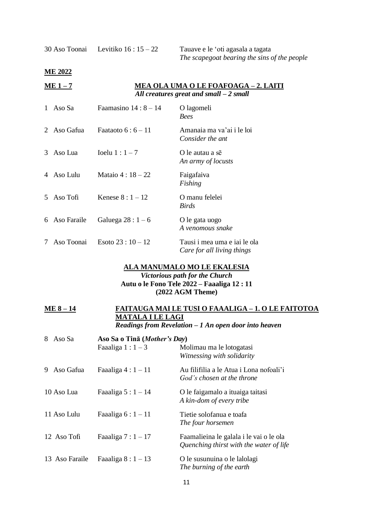**ME 2022**

| $ME 1-7$ | MEA OLA UMA O LE FOAFOAGA - 2. LAITI     |
|----------|------------------------------------------|
|          | All creatures great and small $-2$ small |

| $\mathbf{1}$ | Aso Sa        | Faamasino $14:8-14$ | O lagomeli<br><b>Bees</b>                                  |
|--------------|---------------|---------------------|------------------------------------------------------------|
| 2            | Aso Gafua     | Faataoto $6:6-11$   | Amanaia ma va'ai i le loi<br>Consider the ant              |
| 3            | Aso Lua       | Ioelu $1:1-7$       | O le autau a sē<br>An army of locusts                      |
| 4            | -Aso Lulu     | Mataio $4:18 - 22$  | Faigafaiva<br>Fishing                                      |
| 5            | Aso Tofi      | Kenese $8:1-12$     | O manu felelei<br><i>Birds</i>                             |
|              | 6 Aso Faraile | Galuega $28:1-6$    | O le gata uogo<br>A venomous snake                         |
| 7            | Aso Toonai    | Esoto $23:10-12$    | Tausi i mea uma e iai le ola<br>Care for all living things |

# **ALA MANUMALO MO LE EKALESIA**

*Victorious path for the Church* **Autu o le Fono Tele 2022 – Faaaliga 12 : 11 (2022 AGM Theme)**

| $ME 8-14$ | <b>FAITAUGA MAI LE TUSI O FAAALIGA - 1. O LE FAITOTOA</b> |
|-----------|-----------------------------------------------------------|
|           | <b>MATALA I LE LAGI</b>                                   |
|           | Readings from Revelation $-1$ An open door into heaven    |

| 8<br>Aso Sa |                | Aso Sa o Tinã (Mother's Day) |                                                                                    |  |
|-------------|----------------|------------------------------|------------------------------------------------------------------------------------|--|
|             |                | Faaaliga $1:1-3$             | Molimau ma le lotogatasi<br>Witnessing with solidarity                             |  |
| 9.          | Aso Gafua      | Faaaliga $4:1-11$            | Au filifilia a le Atua i Lona nofoali'i<br>God's chosen at the throne              |  |
|             | 10 Aso Lua     | Faaaliga $5:1-14$            | O le faigamalo a ituaiga taitasi<br>A kin-dom of every tribe                       |  |
|             | 11 Aso Lulu    | Faaaliga $6:1-11$            | Tietie solofanua e toafa<br>The four horsemen                                      |  |
|             | 12 Aso Tofi    | Faaaliga $7:1-17$            | Faamalieina le galala i le vai o le ola<br>Quenching thirst with the water of life |  |
|             | 13 Aso Faraile | Faaaliga $8:1-13$            | O le susunuina o le lalolagi<br>The burning of the earth                           |  |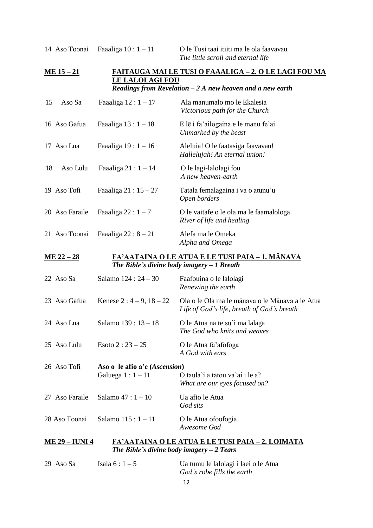## **ME 15 – 21 FAITAUGA MAI LE TUSI O FAAALIGA – 2. O LE LAGI FOU MA LE LALOLAGI FOU** *Readings from Revelation – 2 A new heaven and a new earth*

| 15                                                                                                                         | Aso Sa                | Faaaliga $12:1-17$                         | Ala manumalo mo le Ekalesia<br>Victorious path for the Church                                                                                                                                                                                                                                                                                                                                      |
|----------------------------------------------------------------------------------------------------------------------------|-----------------------|--------------------------------------------|----------------------------------------------------------------------------------------------------------------------------------------------------------------------------------------------------------------------------------------------------------------------------------------------------------------------------------------------------------------------------------------------------|
|                                                                                                                            | 16 Aso Gafua          | Faaaliga $13:1-18$                         | E lē i fa'ailogaina e le manu fe'ai<br>Unmarked by the beast                                                                                                                                                                                                                                                                                                                                       |
|                                                                                                                            | 17 Aso Lua            | Faaaliga $19:1-16$                         | Aleluia! O le faatasiga faavavau!<br>Hallelujah! An eternal union!                                                                                                                                                                                                                                                                                                                                 |
| 18                                                                                                                         | Aso Lulu              | Faaaliga $21:1-14$                         | O le lagi-lalolagi fou<br>A new heaven-earth                                                                                                                                                                                                                                                                                                                                                       |
|                                                                                                                            | 19 Aso Tofi           | Faaaliga $21:15-27$                        | Tatala femalagaina i va o atunu'u<br>Open borders                                                                                                                                                                                                                                                                                                                                                  |
|                                                                                                                            | 20 Aso Faraile        | Faaaliga $22:1-7$                          | O le vaitafe o le ola ma le faamalologa<br>River of life and healing                                                                                                                                                                                                                                                                                                                               |
|                                                                                                                            | 21 Aso Toonai         | Faaaliga $22:8-21$                         | Alefa ma le Omeka<br>Alpha and Omega                                                                                                                                                                                                                                                                                                                                                               |
| <u>ME 22 – 28</u><br><u>FA'AATAINA O LE ATUA E LE TUSI PAIA – 1. MĀNAVA</u><br>The Bible's divine body imagery $-1$ Breath |                       |                                            |                                                                                                                                                                                                                                                                                                                                                                                                    |
|                                                                                                                            | 22 Aso Sa             | Salamo 124 : 24 - 30                       | Faafouina o le lalolagi<br>Renewing the earth                                                                                                                                                                                                                                                                                                                                                      |
|                                                                                                                            | 23 Aso Gafua          | Kenese $2:4-9, 18-22$                      | Ola o le Ola ma le mānava o le Mānava a le Atua<br>Life of God's life, breath of God's breath                                                                                                                                                                                                                                                                                                      |
|                                                                                                                            | 24 Aso Lua            | Salamo 139: 13 - 18                        | O le Atua na te su'i ma lalaga<br>The God who knits and weaves                                                                                                                                                                                                                                                                                                                                     |
|                                                                                                                            | 25 Aso Lulu           | Esoto $2:23-25$                            | O le Atua fa'afofoga<br>A God with ears                                                                                                                                                                                                                                                                                                                                                            |
|                                                                                                                            | 26 Aso Tofi           | Aso o le afio a'e (Ascension)              |                                                                                                                                                                                                                                                                                                                                                                                                    |
|                                                                                                                            |                       | Galuega $1:1-11$                           | O taula'i a tatou va'ai i le a?<br>What are our eyes focused on?                                                                                                                                                                                                                                                                                                                                   |
|                                                                                                                            | 27 Aso Faraile        | Salamo $47:1 - 10$                         | Ua afio le Atua<br>God sits                                                                                                                                                                                                                                                                                                                                                                        |
|                                                                                                                            | 28 Aso Toonai         | Salamo $115:1 - 11$                        | O le Atua ofoofogia<br>Awesome God                                                                                                                                                                                                                                                                                                                                                                 |
|                                                                                                                            | <b>ME 29 – IUNI 4</b> |                                            | <u>FA'AATAINA O LE ATUA E LE TUSI PAIA – 2. LOIMATA</u>                                                                                                                                                                                                                                                                                                                                            |
|                                                                                                                            |                       | The Bible's divine body imagery $-2$ Tears |                                                                                                                                                                                                                                                                                                                                                                                                    |
|                                                                                                                            |                       |                                            | $20 \text{ A} \cdot \text{A} \cdot \text{A}$ $\text{A} \cdot \text{A}$ $\text{A} \cdot \text{A}$ $\text{A} \cdot \text{A}$ $\text{A} \cdot \text{A}$ $\text{A} \cdot \text{A}$ $\text{A} \cdot \text{A}$ $\text{A} \cdot \text{A}$ $\text{A} \cdot \text{A}$ $\text{A} \cdot \text{A}$ $\text{A} \cdot \text{A}$ $\text{A} \cdot \text{A}$ $\text{A} \cdot \text{A}$ $\text{A} \cdot \text{A}$ $\$ |

| 29 Aso Sa | Isaia $6:1-5$ | Ua tumu le lalolagi i laei o le Atua |
|-----------|---------------|--------------------------------------|
|           |               | God's robe fills the earth           |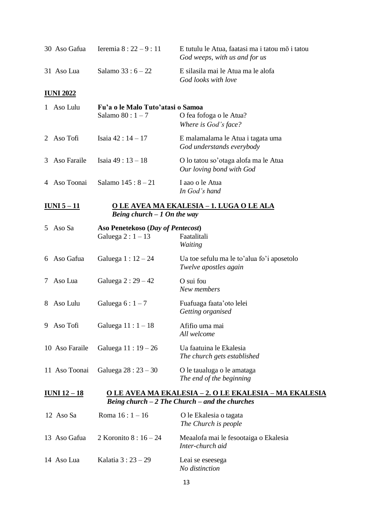| 30 Aso Gafua         | Ieremia $8:22-9:11$                                   | E tutulu le Atua, faatasi ma i tatou mõ i tatou<br>God weeps, with us and for us                                   |
|----------------------|-------------------------------------------------------|--------------------------------------------------------------------------------------------------------------------|
| 31 Aso Lua           | Salamo $33:6 - 22$                                    | E silasila mai le Atua ma le alofa<br>God looks with love                                                          |
| <u>IUNI 2022</u>     |                                                       |                                                                                                                    |
| 1 Aso Lulu           | Fu'a o le Malo Tuto'atasi o Samoa<br>Salamo $80:1-7$  | O fea fofoga o le Atua?<br>Where is God's face?                                                                    |
| 2 Aso Tofi           | Isaia 42 : 14 – 17                                    | E malamalama le Atua i tagata uma<br>God understands everybody                                                     |
| 3 Aso Faraile        | Isaia 49 : 13 - 18                                    | O lo tatou so'otaga alofa ma le Atua<br>Our loving bond with God                                                   |
| 4 Aso Toonai         | Salamo $145:8-21$                                     | I aao o le Atua<br>In God's hand                                                                                   |
| <u>IUNI 5 – 11</u>   | Being church $-1$ On the way                          | <u>O LE AVEA MA EKALESIA - 1. LUGA O LE ALA</u>                                                                    |
| 5 Aso Sa             | Aso Penetekoso (Day of Pentecost)<br>Galuega $2:1-13$ | Faatalitali<br>Waiting                                                                                             |
| 6 Aso Gafua          | Galuega $1:12-24$                                     | Ua toe sefulu ma le to'alua fo'i aposetolo<br>Twelve apostles again                                                |
| 7 Aso Lua            | Galuega $2:29-42$                                     | O sui fou<br>New members                                                                                           |
| Aso Lulu<br>8        | Galuega $6:1-7$                                       | Fuafuaga faata' oto lelei<br>Getting organised                                                                     |
| 9 Aso Tofi           | Galuega $11:1-18$                                     | Afifio uma mai<br>All welcome                                                                                      |
| 10 Aso Faraile       | Galuega $11:19-26$                                    | Ua faatuina le Ekalesia<br>The church gets established                                                             |
| 11 Aso Toonai        | Galuega $28:23-30$                                    | O le taualuga o le amataga<br>The end of the beginning                                                             |
| <u> IUNI 12 – 18</u> |                                                       | <u>O LE AVEA MA EKALESIA – 2. O LE EKALESIA – MA EKALESIA</u><br>Being church $-2$ The Church $-$ and the churches |
| 12 Aso Sa            | Roma $16:1 - 16$                                      | O le Ekalesia o tagata<br>The Church is people                                                                     |
| 13 Aso Gafua         | 2 Koronito $8:16 - 24$                                | Meaalofa mai le fesootaiga o Ekalesia<br>Inter-church aid                                                          |
| 14 Aso Lua           | Kalatia 3 : 23 – 29                                   | Leai se eseesega<br>No distinction                                                                                 |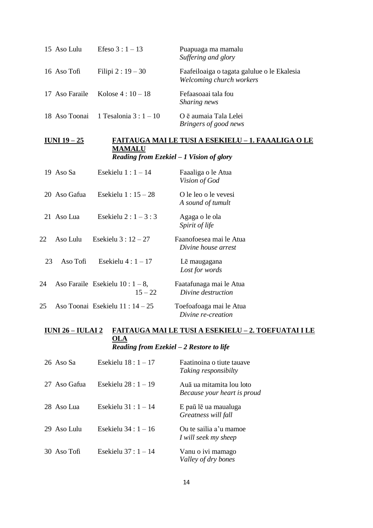| 15 Aso Lulu    | Efeso $3:1 - 13$                       | Puapuaga ma mamalu<br>Suffering and glory                               |
|----------------|----------------------------------------|-------------------------------------------------------------------------|
| 16 Aso Tofi    | Filipi $2:19-30$                       | Faafeiloaiga o tagata galulue o le Ekalesia<br>Welcoming church workers |
| 17 Aso Faraile | Kolose $4:10-18$                       | Fefaasoaai tala fou<br>Sharing news                                     |
|                | 18 Aso Toonai 1 Tesalonia 3 : $1 - 10$ | O ē aumaia Tala Lelei<br>Bringers of good news                          |

## **IUNI 19 – 25 FAITAUGA MAI LE TUSI A ESEKIELU – 1. FAAALIGA O LE MAMALU** *Reading from Ezekiel – 1 Vision of glory*

|    | 19 Aso Sa    | Esekielu $1:1-14$                            | Faaaliga o le Atua<br>Vision of God            |
|----|--------------|----------------------------------------------|------------------------------------------------|
|    | 20 Aso Gafua | Esekielu $1:15-28$                           | O le leo o le vevesi<br>A sound of tumult      |
|    | 21 Aso Lua   | Esekielu 2 : $1 - 3$ : 3                     | Agaga o le ola<br>Spirit of life               |
| 22 | Aso Lulu     | Esekielu $3:12-27$                           | Faanofoesea mai le Atua<br>Divine house arrest |
| 23 | Aso Tofi     | Esekielu $4:1-17$                            | Lē maugagana<br>Lost for words                 |
| 24 |              | Aso Faraile Esekielu $10:1-8$ ,<br>$15 - 22$ | Faatafunaga mai le Atua<br>Divine destruction  |
| 25 |              | Aso Toonai Esekielu 11 : 14 – 25             | Toefoafoaga mai le Atua<br>Divine re-creation  |

## **IUNI 26 – IULAI 2 FAITAUGA MAI LE TUSI A ESEKIELU – 2. TOEFUATAI I LE OLA** *Reading from Ezekiel – 2 Restore to life*

| $26$ Aso Sa  | Esekielu $18:1-17$   | Faatinoina o tiute tauave<br><i>Taking responsibilty</i> |
|--------------|----------------------|----------------------------------------------------------|
| 27 Aso Gafua | Esekielu 28 : 1 – 19 | Auā ua mitamita lou loto<br>Because your heart is proud  |
| 28 Aso Lua   | Esekielu $31:1-14$   | E paū lē ua maualuga<br>Greatness will fall              |
| 29 Aso Lulu  | Esekielu $34:1-16$   | Ou te sailia a'u mamoe<br>I will seek my sheep           |
| 30 Aso Tofi  | Esekielu $37:1-14$   | Vanu o ivi mamago<br>Valley of dry bones                 |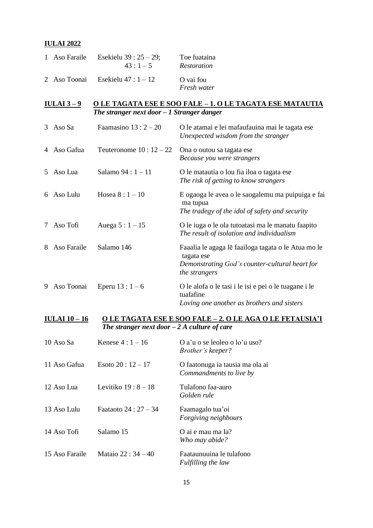#### **IULAI 2022**

| 1 Aso Faraile | Esekielu 39 : $25 - 29$ ;<br>$43:1-5$ | Toe fuataina<br>Restoration |
|---------------|---------------------------------------|-----------------------------|
|               | 2 Aso Toonai Esekielu $47:1-12$       | O vai fou<br>Fresh water    |

## **IULAI 3 – 9 O LE TAGATA ESE E SOO FALE – 1. O LE TAGATA ESE MATAUTIA** *The stranger next door – 1 Stranger danger*

| 3  | Aso Sa      | Faamasino $13:2-20$    | O le atamai e lei mafaufauina mai le tagata ese<br>Unexpected wisdom from the stranger                                               |
|----|-------------|------------------------|--------------------------------------------------------------------------------------------------------------------------------------|
|    | Aso Gafua   | Teuteronome $10:12-22$ | Ona o outou sa tagata ese<br>Because you were strangers                                                                              |
| 5. | Aso Lua     | Salamo 94 : $1 - 11$   | O le matautia o lou fia iloa o tagata ese<br>The risk of getting to know strangers                                                   |
| 6  | Aso Lulu    | Hosea $8:1 - 10$       | E ogaoga le avea o le saogalemu ma puipuiga e fai<br>ma tupua<br>The tradegy of the idol of safety and security                      |
| 7  | Aso Tofi    | Auega $5:1 - 15$       | O le iuga o le ola tutoatasi ma le manatu faapito<br>The result of isolation and individualism                                       |
| 8  | Aso Faraile | Salamo 146             | Faaalia le agaga le faailoga tagata o le Atua mo le<br>tagata ese<br>Demonstrating God's counter-cultural heart for<br>the strangers |
| 9  | Aso Toonai  | Eperu $13:1-6$         | O le alofa o le tasi i le isi e pei o le tuagane i le<br>tuafafine<br>Loving one another as brothers and sisters                     |

## **IULAI 10 – 16 O LE TAGATA ESE E SOO FALE – 2. O LE AGA O LE FETAUSIA'I** *The stranger next door – 2 A culture of care*

| 10 Aso Sa      | Kenese $4:1 - 16$       | O a'u o se leoleo o lo'u uso?<br><i>Brother's keeper?</i>  |
|----------------|-------------------------|------------------------------------------------------------|
| 11 Aso Gafua   | Esoto $20:12-17$        | O faatonuga ia tausia ma ola ai<br>Commandments to live by |
| 12 Aso Lua     | Levitiko $19:8-18$      | Tulafono faa-auro<br>Golden rule                           |
| 13 Aso Lulu    | Faataoto 24 : $27 - 34$ | Faamagalo tua'oi<br><i>Forgiving neighbours</i>            |
| 14 Aso Tofi    | Salamo 15               | O ai e mau ma Ia?<br>Who may abide?                        |
| 15 Aso Faraile | Mataio 22 : $34 - 40$   | Faataunuuina le tulafono<br>Fulfilling the law             |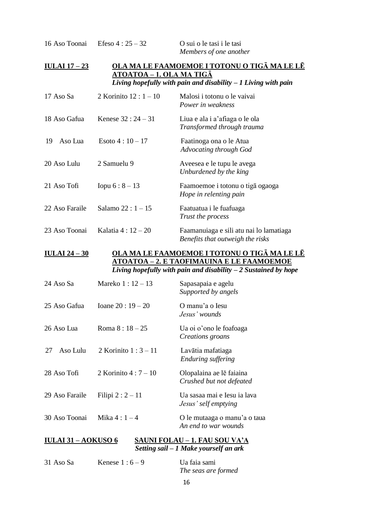16 Aso Toonai Efeso  $4:25-32$  O sui o le tasi i le tasi

*Members of one another*

*Benefits that outweigh the risks*

## **IULAI 17 – 23 OLA MA LE FAAMOEMOE I TOTONU O TIGĀ MA LE LĒ ATOATOA – 1. OLA MA TIGĀ** *Living hopefully with pain and disability – 1 Living with pain*

| 17 Aso Sa      | 2 Korinito $12:1 - 10$ | Malosi i totonu o le vaivai<br>Power in weakness             |
|----------------|------------------------|--------------------------------------------------------------|
| 18 Aso Gafua   | Kenese $32:24-31$      | Liua e ala i a'afiaga o le ola<br>Transformed through trauma |
| Aso Lua<br>19  | Esoto $4:10-17$        | Faatinoga ona o le Atua<br>Advocating through God            |
| 20 Aso Lulu    | 2 Samuelu 9            | Aveesea e le tupu le avega<br>Unburdened by the king         |
| 21 Aso Tofi    | Iopu $6:8-13$          | Faamoemoe i totonu o tigā ogaoga<br>Hope in relenting pain   |
| 22 Aso Faraile | Salamo $22:1 - 15$     | Faatuatua i le fuafuaga<br>Trust the process                 |
| 23 Aso Toonai  | Kalatia $4:12-20$      | Faamanuiaga e sili atu nai lo lamatiaga                      |

## **IULAI 24 – 30 OLA MA LE FAAMOEMOE I TOTONU O TIGĀ MA LE LĒ ATOATOA – 2. E TAOFIMAUINA E LE FAAMOEMOE** *Living hopefully with pain and disability – 2 Sustained by hope*

| 24 Aso Sa                                                   | Mareko $1:12-13$    | Sapasapaia e agelu<br>Supported by angels            |
|-------------------------------------------------------------|---------------------|------------------------------------------------------|
| 25 Aso Gafua                                                | Ioane $20:19-20$    | O manu'a o Iesu<br>Jesus' wounds                     |
| 26 Aso Lua                                                  | Roma $8:18-25$      | Ua oi o'ono le foafoaga<br>Creations groans          |
| Aso Lulu<br>27                                              | 2 Korinito $1:3-11$ | Lavātia mafatiaga<br>Enduring suffering              |
| 28 Aso Tofi                                                 | 2 Korinito $4:7-10$ | Olopalaina ae lē faiaina<br>Crushed but not defeated |
| 29 Aso Faraile                                              | Filipi $2:2-11$     | Ua sasaa mai e Iesu ia lava<br>Jesus' self emptying  |
| 30 Aso Toonai                                               | Mika $4:1-4$        | O le mutaaga o manu'a o taua<br>An end to war wounds |
| SAUNI FOLAU – 1. FAU SOU VA'A<br><b>IULAI 31 – AOKUSO 6</b> |                     |                                                      |

*Setting sail – 1 Make yourself an ark*

| 31 Aso Sa | Kenese $1:6-9$ | Ua faia sami        |
|-----------|----------------|---------------------|
|           |                | The seas are formed |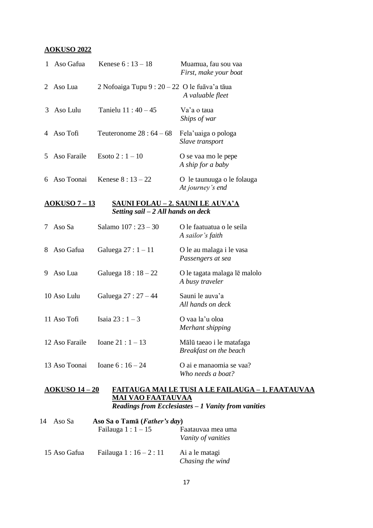#### **AOKUSO 2022**

| $\mathbf{1}$ | Aso Gafua             | Kenese $6:13 - 18$                                                             | Muamua, fau sou vaa<br>First, make your boat       |
|--------------|-----------------------|--------------------------------------------------------------------------------|----------------------------------------------------|
| 2            | Aso Lua               | 2 Nofoaiga Tupu 9 : $20 - 22$ O le fuāva'a tāua                                | A valuable fleet                                   |
| 3            | Aso Lulu              | Tanielu 11:40 - 45                                                             | Va'a o taua<br>Ships of war                        |
|              | 4 Aso Tofi            | Teuteronome $28:64-68$                                                         | Fela'uaiga o pologa<br>Slave transport             |
| 5            | Aso Faraile           | Esoto $2:1 - 10$                                                               | O se vaa mo le pepe<br>A ship for a baby           |
| 6            | Aso Toonai            | Kenese $8:13-22$                                                               | O le taunuuga o le folauga<br>At journey's end     |
|              | <u> AOKUSO 7 – 13</u> | <u>SAUNI FOLAU – 2. SAUNI LE AUVA'A</u><br>Setting sail $-2$ All hands on deck |                                                    |
|              | 7 Aso Sa              | Salamo 107: 23 - 30                                                            | O le faatuatua o le seila<br>A sailor's faith      |
| 8            | Aso Gafua             | Galuega $27:1-11$                                                              | O le au malaga i le vasa<br>Passengers at sea      |
| 9            | Aso Lua               | Galuega $18:18 - 22$                                                           | O le tagata malaga lē malolo<br>A busy traveler    |
|              | 10 Aso Lulu           | Galuega 27 : 27 - 44                                                           | Sauni le auva'a<br>All hands on deck               |
|              | 11 Aso Tofi           | Isaia $23:1-3$                                                                 | O vaa la'u oloa<br>Merhant shipping                |
|              | 12 Aso Faraile        | Ioane $21:1 - 13$                                                              | Mālū taeao i le matafaga<br>Breakfast on the beach |
|              | 13 Aso Toonai         | Ioane $6:16 - 24$                                                              | O ai e manaomia se vaa?<br>Who needs a boat?       |

## **AOKUSO 14 – 20 FAITAUGA MAI LE TUSI A LE FAILAUGA – 1. FAATAUVAA MAI VAO FAATAUVAA** *Readings from Ecclesiastes – 1 Vanity from vanities*

| 14<br>Aso Sa | Aso Sa o Tamã ( <i>Father's day</i> ) |                                         |  |
|--------------|---------------------------------------|-----------------------------------------|--|
|              | Failauga $1:1-15$                     | Faatauvaa mea uma<br>Vanity of vanities |  |
| 15 Aso Gafua | Failauga $1:16-2:11$                  | Ai a le matagi<br>Chasing the wind      |  |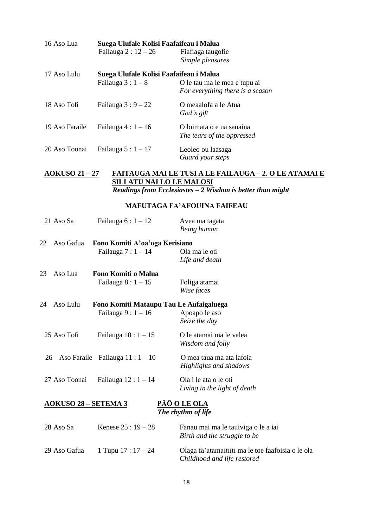| Suega Ulufale Kolisi Faafaifeau i Malua<br>16 Aso Lua |                                         |                                  |
|-------------------------------------------------------|-----------------------------------------|----------------------------------|
|                                                       | Failauga 2: $12-26$                     | Fiafiaga taugofie                |
|                                                       |                                         | Simple pleasures                 |
| 17 Aso Lulu                                           | Suega Ulufale Kolisi Faafaifeau i Malua |                                  |
|                                                       | Failauga $3:1-8$                        | O le tau ma le mea e tupu ai     |
|                                                       |                                         | For everything there is a season |
| 18 Aso Tofi                                           | Failauga $3:9-22$                       | O meaalofa a le Atua             |
|                                                       |                                         | God's gift                       |
| 19 Aso Faraile                                        | Failauga $4:1-16$                       | O loimata o e ua sauaina         |
|                                                       |                                         | The tears of the oppressed       |
| 20 Aso Toonai                                         | Failauga $5:1-17$                       | Leoleo ou laasaga                |
|                                                       |                                         | Guard your steps                 |

## **AOKUSO 21 – 27 FAITAUGA MAI LE TUSI A LE FAILAUGA – 2. O LE ATAMAI E SILI ATU NAI LO LE MALOSI** *Readings from Ecclesiastes – 2 Wisdom is better than might*

## **MAFUTAGA FA'AFOUINA FAIFEAU**

| 21 Aso Sa                   | Failauga $6:1-12$                       | Avea ma tagata<br>Being human       |
|-----------------------------|-----------------------------------------|-------------------------------------|
| 22<br>Aso Gafua             | Fono Komiti A'oa'oga Kerisiano          |                                     |
|                             | Failauga $7:1-14$                       | Ola ma le oti                       |
|                             |                                         | Life and death                      |
| Aso Lua<br>23               | Fono Komiti o Malua                     |                                     |
|                             | Failauga $8:1-15$                       | Foliga atamai                       |
|                             |                                         | Wise faces                          |
| Aso Lulu<br>24              | Fono Komiti Mataupu Tau Le Aufaigaluega |                                     |
|                             | Failauga $9:1-16$                       | Apoapo le aso                       |
|                             |                                         | Seize the day                       |
| 25 Aso Tofi                 | Failauga $10:1-15$                      | O le atamai ma le valea             |
|                             |                                         | Wisdom and folly                    |
| 26                          | Aso Faraile Failauga $11:1-10$          | O mea taua ma ata lafoia            |
|                             |                                         | Highlights and shadows              |
| 27 Aso Toonai               | Failauga $12:1-14$                      | Ola i le ata o le oti               |
|                             |                                         | Living in the light of death        |
|                             |                                         |                                     |
| <u>AOKUSO 28 – SETEMA 3</u> |                                         | PÃŌ O LE OLA<br>The rhythm of life  |
|                             |                                         |                                     |
| 28 Aso Sa                   | Kenese $25:19-28$                       | Fanau mai ma le tauiviga o le a iai |
|                             |                                         | Birth and the struggle to be        |
|                             |                                         |                                     |

29 Aso Gafua  $1$  Tupu  $17 : 17 - 24$  Olaga fa'atamaitiiti ma le toe faafoisia o le ola *Childhood and life restored*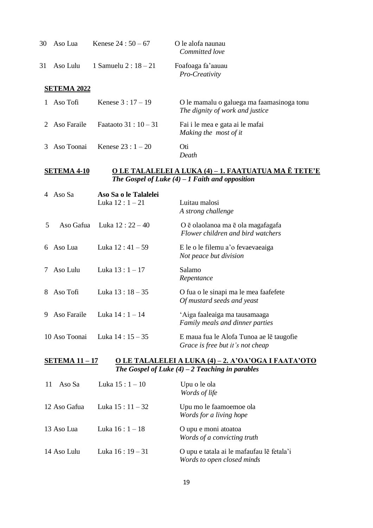| 30 | Aso Lua            | Kenese $24:50-67$       | O le alofa naunau<br>Committed love                                          |
|----|--------------------|-------------------------|------------------------------------------------------------------------------|
| 31 | Aso Lulu           | 1 Samuelu 2 : $18 - 21$ | Foafoaga fa'aauau<br>Pro-Creativity                                          |
|    | <b>SETEMA 2022</b> |                         |                                                                              |
|    | Aso Tofi           | Kenese $3:17-19$        | O le mamalu o galuega ma faamasinoga tonu<br>The dignity of work and justice |
|    | 2 Aso Faraile      | Faataoto 31 : $10 - 31$ | Fai i le mea e gata ai le mafai<br>Making the most of it                     |
|    | Aso Toonai         | Kenese $23:1 - 20$      | Oti<br>Death                                                                 |

#### **SETEMA 4-10 O LE TALALELEI A LUKA (4) – 1. FAATUATUA MA Ē TETE'E** *The Gospel of Luke (4) – 1 Faith and opposition*

| 4              | Aso Sa        | Aso Sa o le Talalelei |                                                                              |
|----------------|---------------|-----------------------|------------------------------------------------------------------------------|
|                |               | Luka $12:1 - 21$      | Luitau malosi<br>A strong challenge                                          |
| 5              | Aso Gafua     | Luka 12 : 22 – 40     | O ē olaolanoa ma ē ola magafagafa<br>Flower children and bird watchers       |
| 6              | Aso Lua       | Luka $12:41-59$       | E le o le filemu a'o fevaevaeaiga<br>Not peace but division                  |
| $7\phantom{0}$ | Aso Lulu      | Luka $13:1 - 17$      | Salamo<br>Repentance                                                         |
|                | 8 Aso Tofi    | Luka $13:18-35$       | O fua o le sinapi ma le mea faafefete<br>Of mustard seeds and yeast          |
| 9              | Aso Faraile   | Luka $14:1 - 14$      | 'Aiga faaleaiga ma tausamaaga<br>Family meals and dinner parties             |
|                | 10 Aso Toonai | Luka $14:15-35$       | E maua fua le Alofa Tunoa ae le taugofie<br>Grace is free but it's not cheap |

**SETEMA 11 – 17 O LE TALALELEI A LUKA (4) – 2. A'OA'OGA I FAATA'OTO** *The Gospel of Luke (4) – 2 Teaching in parables*

| Aso Sa<br>11 | Luka $15:1 - 10$ | Upu o le ola<br>Words of life                                           |
|--------------|------------------|-------------------------------------------------------------------------|
| 12 Aso Gafua | Luka $15:11-32$  | Upu mo le faamoemoe ola<br>Words for a living hope                      |
| 13 Aso Lua   | Luka $16:1 - 18$ | O upu e moni atoatoa<br>Words of a convicting truth                     |
| 14 Aso Lulu  | Luka $16:19-31$  | O upu e tatala ai le mafaufau le fetala'i<br>Words to open closed minds |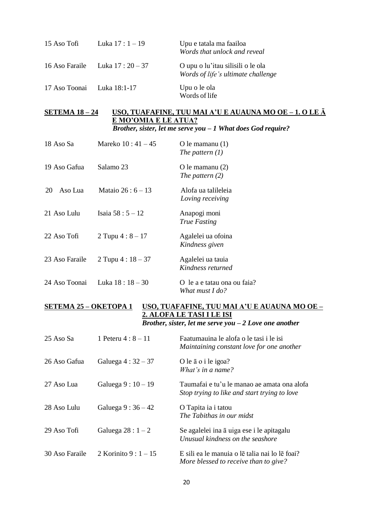| 15 Aso Tofi    | Luka $17:1 - 19$  | Upu e tatala ma faailoa<br>Words that unlock and reveal                 |
|----------------|-------------------|-------------------------------------------------------------------------|
| 16 Aso Faraile | Luka 17 : 20 – 37 | O upu o lu'itau silisili o le ola<br>Words of life's ultimate challenge |
| 17 Aso Toonai  | Luka 18:1-17      | Upu o le ola<br>Words of life                                           |

## **SETEMA 18 – 24 USO, TUAFAFINE, TUU MAI A'U E AUAUNA MO OE – 1. O LE Ā E MO'OMIA E LE ATUA?** *Brother, sister, let me serve you – 1 What does God require?*

| 18 Aso Sa      | Mareko $10:41 - 45$ | O le mamanu $(1)$<br>The pattern $(1)$         |
|----------------|---------------------|------------------------------------------------|
| 19 Aso Gafua   | Salamo 23           | O le mamanu $(2)$<br>The pattern $(2)$         |
| Aso Lua<br>20  | Mataio $26:6 - 13$  | Alofa ua talileleia<br>Loving receiving        |
| 21 Aso Lulu    | Isaia $58:5 - 12$   | Anapogi moni<br><b>True Fasting</b>            |
| 22 Aso Tofi    | 2 Tupu $4:8 - 17$   | Agalelei ua ofoina<br>Kindness given           |
| 23 Aso Faraile | 2 Tupu $4:18-37$    | Agalelei ua tauia<br>Kindness returned         |
| 24 Aso Toonai  | Luka $18:18-30$     | O le a e tatau ona ou faia?<br>What must I do? |

## **SETEMA 25 – OKETOPA 1 USO, TUAFAFINE, TUU MAI A'U E AUAUNA MO OE – 2. ALOFA LE TASI I LE ISI** *Brother, sister, let me serve you – 2 Love one another*

| 25 Aso Sa      | 1 Peteru $4:8 - 11$     | Faatumauina le alofa o le tasi i le isi<br>Maintaining constant love for one another        |
|----------------|-------------------------|---------------------------------------------------------------------------------------------|
| 26 Aso Gafua   | Galuega $4:32-37$       | O le $\bar{a}$ o i le igoa?<br>What's in a name?                                            |
| 27 Aso Lua     | Galuega $9:10-19$       | Taumafai e tu'u le manao ae amata ona alofa<br>Stop trying to like and start trying to love |
| 28 Aso Lulu    | Galuega $9:36-42$       | O Tapita ia i tatou<br>The Tabithas in our midst                                            |
| 29 Aso Tofi    | Galuega $28:1-2$        | Se agalelei ina ā uiga ese i le apitagalu<br>Unusual kindness on the seashore               |
| 30 Aso Faraile | 2 Korinito 9 : $1 - 15$ | E sili ea le manuia o le talia nai lo le foai?<br>More blessed to receive than to give?     |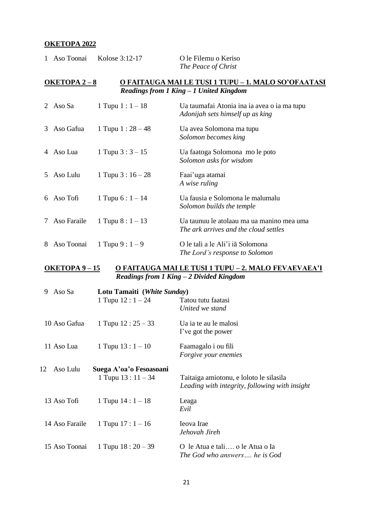## **OKETOPA 2022**

| $\mathbf{1}$ | Aso Toonai                                                                                                                  | Kolose 3:12-17       | O le Filemu o Keriso<br>The Peace of Christ                                        |  |  |
|--------------|-----------------------------------------------------------------------------------------------------------------------------|----------------------|------------------------------------------------------------------------------------|--|--|
|              | <u>O FAITAUGA MAI LE TUSI 1 TUPU – 1. MALO SO'OFAATASI</u><br><b>OKETOPA 2-8</b><br>Readings from 1 King - 1 United Kingdom |                      |                                                                                    |  |  |
|              | 2 Aso Sa                                                                                                                    | 1 Tupu $1:1 - 18$    | Ua taumafai Atonia ina ia avea o ia ma tupu<br>Adonijah sets himself up as king    |  |  |
| 3            | Aso Gafua                                                                                                                   | 1 Tupu 1 : $28 - 48$ | Ua avea Solomona ma tupu<br>Solomon becomes king                                   |  |  |
|              | 4 Aso Lua                                                                                                                   | 1 Tupu $3:3 - 15$    | Ua faatoga Solomona mo le poto<br>Solomon asks for wisdom                          |  |  |
| 5.           | Aso Lulu                                                                                                                    | 1 Tupu $3:16-28$     | Faai'uga atamai<br>A wise ruling                                                   |  |  |
|              | 6 Aso Tofi                                                                                                                  | 1 Tupu $6:1 - 14$    | Ua fausia e Solomona le malumalu<br>Solomon builds the temple                      |  |  |
| 7            | Aso Faraile                                                                                                                 | 1 Tupu $8:1-13$      | Ua taunuu le atolaau ma ua manino mea uma<br>The ark arrives and the cloud settles |  |  |
| 8            | Aso Toonai                                                                                                                  | 1 Tupu $9:1-9$       | O le tali a le Ali'i ia Solomona<br>The Lord's response to Solomon                 |  |  |

#### **OKETOPA 9 – 15 O FAITAUGA MAI LE TUSI 1 TUPU – 2. MALO FEVAEVAEA'I** *Readings from 1 King – 2 Divided Kingdom*

| Aso Sa<br>9    | Lotu Tamaiti (White Sunday)                  |                                                                                           |
|----------------|----------------------------------------------|-------------------------------------------------------------------------------------------|
|                | 1 Tupu $12:1-24$                             | Tatou tutu faatasi<br>United we stand                                                     |
| 10 Aso Gafua   | 1 Tupu $12:25-33$                            | Ua ia te au le malosi<br>I've got the power                                               |
| 11 Aso Lua     | 1 Tupu $13:1 - 10$                           | Faamagalo i ou fili<br>Forgive your enemies                                               |
| 12<br>Aso Lulu | Suega A'oa'o Fesoasoani<br>1 Tupu $13:11-34$ | Taitaiga amiotonu, e loloto le silasila<br>Leading with integrity, following with insight |
| 13 Aso Tofi    | 1 Tupu $14:1 - 18$                           | Leaga<br>Evil                                                                             |
| 14 Aso Faraile | 1 Tupu $17:1 - 16$                           | Ieova Irae<br>Jehovah Jireh                                                               |
| 15 Aso Toonai  | 1 Tupu $18:20-39$                            | O le Atua e tali o le Atua o Ia<br>The God who answers he is God                          |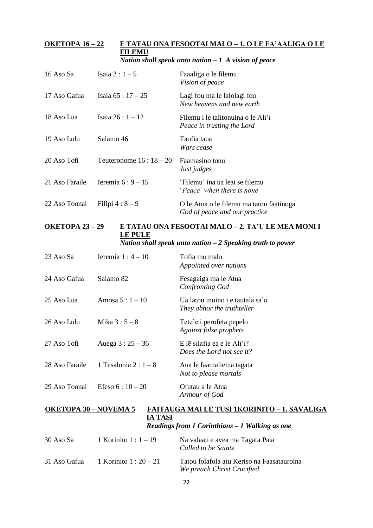#### **OKETOPA 16 – 22 E TATAU ONA FESOOTAI MALO – 1. O LE FA'AALIGA O LE FILEMU** *Nation shall speak unto nation – 1 A vision of peace*

| 16 Aso Sa      | Isaia 2 : $1-5$        | Faaaliga o le filemu<br>Vision of peace                                   |
|----------------|------------------------|---------------------------------------------------------------------------|
| 17 Aso Gafua   | Isaia $65:17-25$       | Lagi fou ma le lalolagi fou<br>New heavens and new earth                  |
| 18 Aso Lua     | Isaia $26:1 - 12$      | Filemu i le talitonuina o le Ali'i<br>Peace in trusting the Lord          |
| 19 Aso Lulu    | Salamo 46              | Taofia taua<br>Wars cease                                                 |
| 20 Aso Tofi    | Teuteronome $16:18-20$ | Faamasino tonu<br>Just judges                                             |
| 21 Aso Faraile | Ieremia $6:9-15$       | 'Filemu' ina ua leai se filemu<br><i>Peace'</i> when there is none        |
| 22 Aso Toonai  | Filipi $4:8-9$         | O le Atua o le filemu ma tatou faatinoga<br>God of peace and our practice |

## **OKETOPA 23 – 29 E TATAU ONA FESOOTAI MALO – 2. TA'U LE MEA MONI I LE PULE** *Nation shall speak unto nation – 2 Speaking truth to power*

| 23 Aso Sa      | Ieremia $1:4-10$      | Tofia mo malo<br>Appointed over nations                        |
|----------------|-----------------------|----------------------------------------------------------------|
| 24 Aso Gafua   | Salamo 82             | Fesagaiga ma le Atua<br>Confronting God                        |
| 25 Aso Lua     | Amosa $5:1 - 10$      | Ua latou inoino i e tautala sa'o<br>They abhor the truthteller |
| 26 Aso Lulu    | Mika $3:5-8$          | Tete'e i perofeta pepelo<br>Against false prophets             |
| 27 Aso Tofi    | Auega $3:25-36$       | $E$ le silafia ea e le Ali'i?<br>Does the Lord not see it?     |
| 28 Aso Faraile | 1 Tesalonia 2 : $1-8$ | Aua le faamalieina tagata<br>Not to please mortals             |
| 29 Aso Toonai  | Efeso $6:10-20$       | Ofutau a le Atua<br>Armour of God                              |

## **OKETOPA 30 – NOVEMA 5 FAITAUGA MAI LE TUSI 1KORINITO – 1. SAVALIGA IA TASI** *Readings from 1 Corinthians – 1 Walking as one*

| 30 Aso Sa    | 1 Korinito 1 : $1 - 19$  | Na valaau e avea ma Tagata Paia<br>Called to be Saints                   |
|--------------|--------------------------|--------------------------------------------------------------------------|
| 31 Aso Gafua | 1 Korinito 1 : $20 - 21$ | Tatou folafola atu Keriso na Faasatauroina<br>We preach Christ Crucified |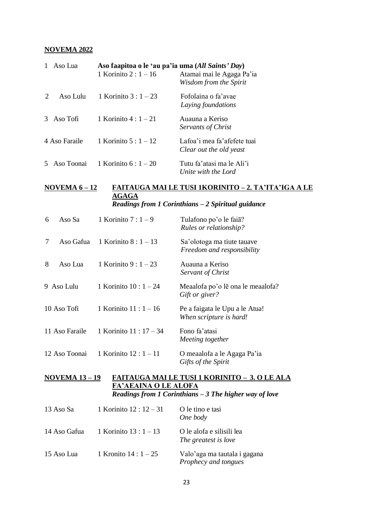#### **NOVEMA 2022**

| 1 | Aso Lua       | Aso faapitoa o le 'au pa'ia uma (All Saints' Day)<br>1 Korinito 2 : $1 - 16$ | Atamai mai le Agaga Pa'ia<br>Wisdom from the Spirit    |
|---|---------------|------------------------------------------------------------------------------|--------------------------------------------------------|
|   | Aso Lulu      | 1 Korinito 3 : $1-23$                                                        | Fofolaina o fa'avae<br>Laying foundations              |
|   | 3 Aso Tofi    | 1 Korinito $4:1-21$                                                          | Auauna a Keriso<br>Servants of Christ                  |
|   | 4 Aso Faraile | 1 Korinito $5:1 - 12$                                                        | Lafoa'i mea fa'afefete tuai<br>Clear out the old yeast |
|   | 5 Aso Toonai  | 1 Korinito $6:1 - 20$                                                        | Tutu fa'atasi ma le Ali'i<br>Unite with the Lord       |

#### **NOVEMA 6 – 12 FAITAUGA MAI LE TUSI 1KORINITO – 2. TA'ITA'IGA A LE AGAGA** *Readings from 1 Corinthians – 2 Spiritual guidance*

| 6 | Aso Sa         | 1 Korinito $7:1-9$      | Tulafono po'o le faia?<br><b>Rules or relationship?</b>   |
|---|----------------|-------------------------|-----------------------------------------------------------|
| 7 | Aso Gafua      | 1 Korinito 8 : $1 - 13$ | Sa'olotoga ma tiute tauave<br>Freedom and responsibility  |
| 8 | Aso Lua        | 1 Korinito 9 : $1 - 23$ | Auauna a Keriso<br>Servant of Christ                      |
|   | 9 Aso Lulu     | 1 Korinito $10:1 - 24$  | Meaalofa po'o le ona le meaalofa?<br>Gift or giver?       |
|   | 10 Aso Tofi    | 1 Korinito $11:1 - 16$  | Pe a faigata le Upu a le Atua!<br>When scripture is hard! |
|   | 11 Aso Faraile | 1 Korinito $11:17-34$   | Fono fa'atasi<br>Meeting together                         |
|   | 12 Aso Toonai  | 1 Korinito $12:1 - 11$  | O meaalofa a le Agaga Pa'ia                               |

## **NOVEMA 13 – 19 FAITAUGA MAI LE TUSI 1 KORINITO – 3. O LE ALA FA'AEAINA O LE ALOFA** *Readings from 1 Corinthians – 3 The higher way of love*

*Gifts of the Spirit*

| 13 Aso Sa    | 1 Korinito $12:12-31$  | O le tino e tasi<br>One body                         |
|--------------|------------------------|------------------------------------------------------|
| 14 Aso Gafua | 1 Korinito $13:1 - 13$ | O le alofa e silisili lea<br>The greatest is love    |
| 15 Aso Lua   | 1 Kronito $14:1 - 25$  | Valo'aga ma tautala i gagana<br>Prophecy and tongues |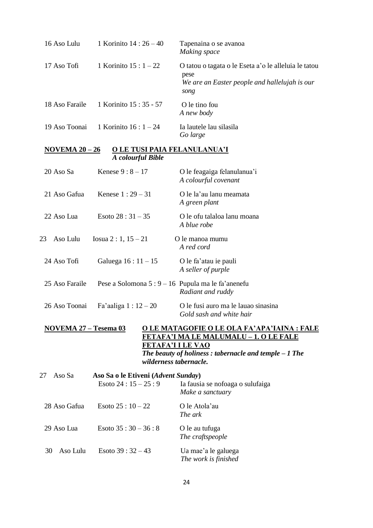| 16 Aso Lulu                                                                                                                                                                                                                                  | 1 Korinito 14 : 26 - 40                                   | Tapenaina o se avanoa<br>Making space                                                                                 |  |
|----------------------------------------------------------------------------------------------------------------------------------------------------------------------------------------------------------------------------------------------|-----------------------------------------------------------|-----------------------------------------------------------------------------------------------------------------------|--|
| 17 Aso Tofi                                                                                                                                                                                                                                  | 1 Korinito $15:1 - 22$                                    | O tatou o tagata o le Eseta a'o le alleluia le tatou<br>pese<br>We are an Easter people and hallelujah is our<br>song |  |
| 18 Aso Faraile                                                                                                                                                                                                                               | 1 Korinito 15:35 - 57                                     | O le tino fou<br>A new body                                                                                           |  |
| 19 Aso Toonai                                                                                                                                                                                                                                | 1 Korinito $16:1 - 24$                                    | Ia lautele lau silasila<br>Go large                                                                                   |  |
| NOVEMA $20-26$                                                                                                                                                                                                                               | O LE TUSI PAIA FELANULANUA'I<br>A colourful Bible         |                                                                                                                       |  |
| 20 Aso Sa                                                                                                                                                                                                                                    | Kenese $9:8-17$                                           | O le feagaiga felanulanua'i<br>A colourful covenant                                                                   |  |
| 21 Aso Gafua                                                                                                                                                                                                                                 | Kenese $1:29 - 31$                                        | O le la'au lanu meamata<br>A green plant                                                                              |  |
| 22 Aso Lua                                                                                                                                                                                                                                   | Esoto $28:31 - 35$                                        | O le ofu talaloa lanu moana<br>A blue robe                                                                            |  |
| Aso Lulu<br>23                                                                                                                                                                                                                               | Iosua 2 : 1, $15 - 21$                                    | O le manoa mumu<br>A red cord                                                                                         |  |
| 24 Aso Tofi                                                                                                                                                                                                                                  | Galuega $16:11 - 15$                                      | O le fa'atau ie pauli<br>A seller of purple                                                                           |  |
| 25 Aso Faraile                                                                                                                                                                                                                               |                                                           | Pese a Solomona 5 : 9 – 16 Pupula ma le fa'anenefu<br>Radiant and ruddy                                               |  |
| 26 Aso Toonai                                                                                                                                                                                                                                | Fa'aaliga $1:12-20$                                       | O le fusi auro ma le lauao sinasina<br>Gold sash and white hair                                                       |  |
| <u>NOVEMA 27 – Tesema 03</u><br><u>O LE MATAGOFIE O LE OLA FA'APA'IAINA : FALE</u><br>FETAFA'I MA LE MALUMALU - 1. O LE FALE<br><b>FETAFA'I I LE VAO</b><br>The beauty of holiness: tabernacle and temple $-1$ The<br>wilderness tabernacle. |                                                           |                                                                                                                       |  |
| Aso Sa<br>27                                                                                                                                                                                                                                 | Aso Sa o le Etiveni (Advent Sunday)<br>Esoto $24:15-25:9$ | Ia fausia se nofoaga o sulufaiga<br>Make a sanctuary                                                                  |  |
| 28 Aso Gafua                                                                                                                                                                                                                                 | Esoto $25:10-22$                                          | O le Atola'au<br>The ark                                                                                              |  |
| 29 Aso Lua                                                                                                                                                                                                                                   | Esoto $35:30-36:8$                                        | O le au tufuga<br>The craftspeople                                                                                    |  |
| Aso Lulu<br>30                                                                                                                                                                                                                               | Esoto 39 : $32 - 43$                                      | Ua mae'a le galuega<br>The work is finished                                                                           |  |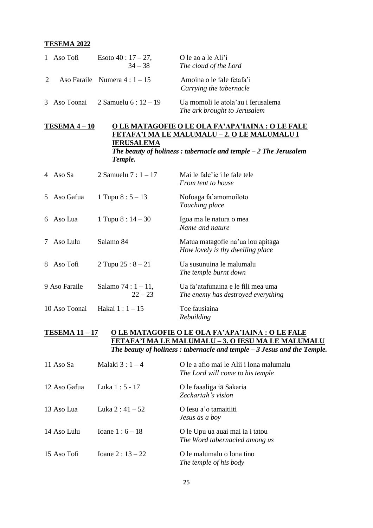#### **TESEMA 2022**

|   | 1 Aso Tofi | Esoto $40:17-27$ ,<br>$34 - 38$  | O le ao a le Ali'i<br>The cloud of the Lord                        |
|---|------------|----------------------------------|--------------------------------------------------------------------|
| 2 |            | Aso Faraile Numera $4:1-15$      | Amoina o le fale fetafa'i<br>Carrying the tabernacle               |
|   |            | 3 Aso Toonai 2 Samuelu $6:12-19$ | Ua momoli le atola'au i Ierusalema<br>The ark brought to Jerusalem |

## **TESEMA 4 – 10 O LE MATAGOFIE O LE OLA FA'APA'IAINA : O LE FALE FETAFA'I MA LE MALUMALU – 2. O LE MALUMALU I IERUSALEMA** *The beauty of holiness : tabernacle and temple – 2 The Jerusalem*

*Temple.*

| Aso Sa<br>4     | 2 Samuelu $7:1 - 17$              | Mai le fale ie i le fale tele<br><b>From tent to house</b>               |
|-----------------|-----------------------------------|--------------------------------------------------------------------------|
| Aso Gafua<br>5. | 1 Tupu $8:5 - 13$                 | Nofoaga fa'amomoiloto<br>Touching place                                  |
| Aso Lua<br>6.   | 1 Tupu $8:14-30$                  | Igoa ma le natura o mea<br>Name and nature                               |
| Aso Lulu<br>7   | Salamo 84                         | Matua matagofie na'ua lou apitaga<br>How lovely is thy dwelling place    |
| 8<br>Aso Tofi   | 2 Tupu $25:8 - 21$                | Ua susunuina le malumalu<br>The temple burnt down                        |
| 9 Aso Faraile   | Salamo $74:1 - 11$ ,<br>$22 - 23$ | Ua fa'atafunaina e le fili mea uma<br>The enemy has destroyed everything |
| 10 Aso Toonai   | Hakai 1 : 1 – 15                  | Toe fausiaina<br>Rebuilding                                              |

## **TESEMA 11 – 17 O LE MATAGOFIE O LE OLA FA'APA'IAINA : O LE FALE FETAFA'I MA LE MALUMALU – 3. O IESU MA LE MALUMALU** *The beauty of holiness : tabernacle and temple – 3 Jesus and the Temple.*

| 11 Aso Sa    | Malaki $3:1-4$     | O le a afio mai le Alii i lona malumalu<br>The Lord will come to his temple |
|--------------|--------------------|-----------------------------------------------------------------------------|
| 12 Aso Gafua | Luka 1:5 - 17      | O le faaaliga iā Sakaria<br>Zechariah's vision                              |
| 13 Aso Lua   | Luka 2 : $41 - 52$ | O Iesu a'o tamaitiiti<br>Jesus as a boy                                     |
| 14 Aso Lulu  | Ioane $1:6 - 18$   | O le Upu ua auai mai ia i tatou<br>The Word tabernacled among us            |
| 15 Aso Tofi  | Ioane $2:13 - 22$  | O le malumalu o lona tino<br>The temple of his body                         |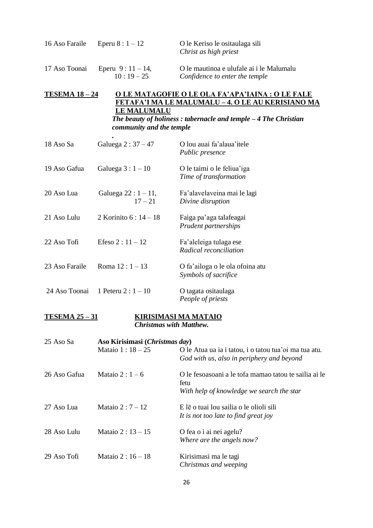| 16 Aso Faraile | Eperu $8:1 - 12$                | O le Keriso le ositaulaga sili<br>Christ as high priest                    |
|----------------|---------------------------------|----------------------------------------------------------------------------|
| 17 Aso Toonai  | Eperu $9:11-14$ ,<br>$10:19-25$ | O le mautinoa e ulufale ai i le Malumalu<br>Confidence to enter the temple |

## **TESEMA 18 – 24 O LE MATAGOFIE O LE OLA FA'APA'IAINA : O LE FALE FETAFA'I MA LE MALUMALU – 4. O LE AU KERISIANO MA LE MALUMALU** *The beauty of holiness : tabernacle and temple – 4 The Christian community and the temple*

| 18 Aso Sa      | Galuega $2:37-47$                  | O lou auai fa'alaua'itele<br><i>Public presence</i>     |
|----------------|------------------------------------|---------------------------------------------------------|
| 19 Aso Gafua   | Galuega $3:1-10$                   | O le taimi o le feliua'iga<br>Time of transformation    |
| 20 Aso Lua     | Galuega $22:1 - 11$ ,<br>$17 - 21$ | Fa'alavelaveina mai le lagi<br>Divine disruption        |
| 21 Aso Lulu    | 2 Korinito $6:14 - 18$             | Faiga pa'aga talafeagai<br>Prudent partnerships         |
| 22 Aso Tofi    | Efeso $2:11 - 12$                  | Fa'aleleiga tulaga ese<br>Radical reconciliation        |
| 23 Aso Faraile | Roma $12:1 - 13$                   | O fa'ailoga o le ola ofoina atu<br>Symbols of sacrifice |
| 24 Aso Toonai  | 1 Peteru 2 : $1 - 10$              | O tagata ositaulaga<br>People of priests                |

#### **TESEMA 25 – 31 KIRISIMASI MA MATAIO** *Christmas with Matthew.*

| 25 Aso Sa    | Aso Kirisimasi (Christmas day) |                                                                                                            |
|--------------|--------------------------------|------------------------------------------------------------------------------------------------------------|
|              | Mataio $1:18 - 25$             | O le Atua ua ia i tatou, i o tatou tua'oi ma tua atu.<br>God with us, also in periphery and beyond         |
| 26 Aso Gafua | Mataio 2 : $1-6$               | O le fesoasoani a le tofa mamao tatou te sailia ai le<br>fetu<br>With help of knowledge we search the star |
| 27 Aso Lua   | Mataio 2 : $7 - 12$            | E lē o tuai lou sailia o le olioli sili<br>It is not too late to find great joy                            |
| 28 Aso Lulu  | Mataio $2:13 - 15$             | O fea o i ai nei agelu?<br>Where are the angels now?                                                       |
| 29 Aso Tofi  | Mataio 2 : $16 - 18$           | Kirisimasi ma le tagi<br>Christmas and weeping                                                             |